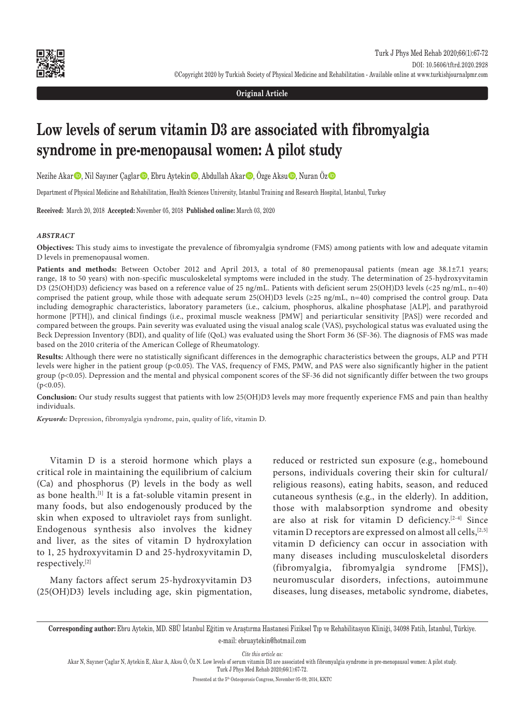

**Original Article**

# **Low levels of serum vitamin D3 are associated with fibromyalgia syndrome in pre-menopausal women: A pilot study**

Nezihe Akar $\bullet$ , Nil Sayıner Çaglar $\bullet$ , Ebru Aytekin $\bullet$ , Abdullah Akar $\bullet$ , Özge Aksu $\bullet$ , Nuran Öz $\bullet$ 

Department of Physical Medicine and Rehabilitation, Health Sciences University, Istanbul Training and Research Hospital, Istanbul, Turkey

**Received:** March 20, 2018 **Accepted:** November 05, 2018 **Published online:** March 03, 2020

### *ABSTRACT*

**Objectives:** This study aims to investigate the prevalence of fibromyalgia syndrome (FMS) among patients with low and adequate vitamin D levels in premenopausal women.

Patients and methods: Between October 2012 and April 2013, a total of 80 premenopausal patients (mean age 38.1±7.1 years; range, 18 to 50 years) with non-specific musculoskeletal symptoms were included in the study. The determination of 25-hydroxyvitamin D3 (25(OH)D3) deficiency was based on a reference value of 25 ng/mL. Patients with deficient serum 25(OH)D3 levels (<25 ng/mL, n=40) comprised the patient group, while those with adequate serum 25(OH)D3 levels (≥25 ng/mL, n=40) comprised the control group. Data including demographic characteristics, laboratory parameters (i.e., calcium, phosphorus, alkaline phosphatase [ALP], and parathyroid hormone [PTH]), and clinical findings (i.e., proximal muscle weakness [PMW] and periarticular sensitivity [PAS]) were recorded and compared between the groups. Pain severity was evaluated using the visual analog scale (VAS), psychological status was evaluated using the Beck Depression Inventory (BDI), and quality of life (QoL) was evaluated using the Short Form 36 (SF-36). The diagnosis of FMS was made based on the 2010 criteria of the American College of Rheumatology.

**Results:** Although there were no statistically significant differences in the demographic characteristics between the groups, ALP and PTH levels were higher in the patient group (p<0.05). The VAS, frequency of FMS, PMW, and PAS were also significantly higher in the patient group (p<0.05). Depression and the mental and physical component scores of the SF-36 did not significantly differ between the two groups  $(p<0.05)$ .

**Conclusion:** Our study results suggest that patients with low 25(OH)D3 levels may more frequently experience FMS and pain than healthy individuals.

*Keywords:* Depression, fibromyalgia syndrome, pain, quality of life, vitamin D.

Vitamin D is a steroid hormone which plays a critical role in maintaining the equilibrium of calcium (Ca) and phosphorus (P) levels in the body as well as bone health.[1] It is a fat-soluble vitamin present in many foods, but also endogenously produced by the skin when exposed to ultraviolet rays from sunlight. Endogenous synthesis also involves the kidney and liver, as the sites of vitamin D hydroxylation to 1, 25 hydroxyvitamin D and 25-hydroxyvitamin D, respectively.[2]

Many factors affect serum 25-hydroxyvitamin D3 (25(OH)D3) levels including age, skin pigmentation, reduced or restricted sun exposure (e.g., homebound persons, individuals covering their skin for cultural/ religious reasons), eating habits, season, and reduced cutaneous synthesis (e.g., in the elderly). In addition, those with malabsorption syndrome and obesity are also at risk for vitamin D deficiency.[2-4] Since vitamin D receptors are expressed on almost all cells,<sup>[2,5]</sup> vitamin D deficiency can occur in association with many diseases including musculoskeletal disorders (fibromyalgia, fibromyalgia syndrome [FMS]), neuromuscular disorders, infections, autoimmune diseases, lung diseases, metabolic syndrome, diabetes,

**Corresponding author:** Ebru Aytekin, MD. SBÜ İstanbul Eğitim ve Araştırma Hastanesi Fiziksel Tıp ve Rehabilitasyon Kliniği, 34098 Fatih, İstanbul, Türkiye. e-mail: ebruaytekin@hotmail.com

*Cite this article as:*

Akar N, Sayıner Çaglar N, Aytekin E, Akar A, Aksu Ö, Öz N. Low levels of serum vitamin D3 are associated with fibromyalgia syndrome in pre-menopausal women: A pilot study.

Turk J Phys Med Rehab 2020;66(1):67-72. Presented at the 5th Osteoporosis Congress, November 05-09, 2014, KKTC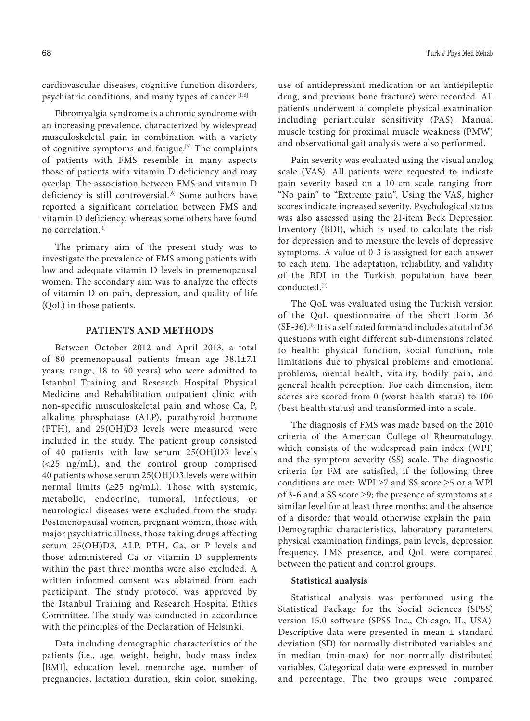cardiovascular diseases, cognitive function disorders, psychiatric conditions, and many types of cancer.<sup>[1,6]</sup>

Fibromyalgia syndrome is a chronic syndrome with an increasing prevalence, characterized by widespread musculoskeletal pain in combination with a variety of cognitive symptoms and fatigue.<sup>[5]</sup> The complaints of patients with FMS resemble in many aspects those of patients with vitamin D deficiency and may overlap. The association between FMS and vitamin D deficiency is still controversial.<sup>[6]</sup> Some authors have reported a significant correlation between FMS and vitamin D deficiency, whereas some others have found no correlation.[1]

The primary aim of the present study was to investigate the prevalence of FMS among patients with low and adequate vitamin D levels in premenopausal women. The secondary aim was to analyze the effects of vitamin D on pain, depression, and quality of life (QoL) in those patients.

## **PATIENTS AND METHODS**

Between October 2012 and April 2013, a total of 80 premenopausal patients (mean age 38.1±7.1 years; range, 18 to 50 years) who were admitted to Istanbul Training and Research Hospital Physical Medicine and Rehabilitation outpatient clinic with non-specific musculoskeletal pain and whose Ca, P, alkaline phosphatase (ALP), parathyroid hormone (PTH), and 25(OH)D3 levels were measured were included in the study. The patient group consisted of 40 patients with low serum 25(OH)D3 levels (<25 ng/mL), and the control group comprised 40 patients whose serum 25(OH)D3 levels were within normal limits ( $\geq$ 25 ng/mL). Those with systemic, metabolic, endocrine, tumoral, infectious, or neurological diseases were excluded from the study. Postmenopausal women, pregnant women, those with major psychiatric illness, those taking drugs affecting serum 25(OH)D3, ALP, PTH, Ca, or P levels and those administered Ca or vitamin D supplements within the past three months were also excluded. A written informed consent was obtained from each participant. The study protocol was approved by the Istanbul Training and Research Hospital Ethics Committee. The study was conducted in accordance with the principles of the Declaration of Helsinki.

Data including demographic characteristics of the patients (i.e., age, weight, height, body mass index [BMI], education level, menarche age, number of pregnancies, lactation duration, skin color, smoking, use of antidepressant medication or an antiepileptic drug, and previous bone fracture) were recorded. All patients underwent a complete physical examination including periarticular sensitivity (PAS). Manual muscle testing for proximal muscle weakness (PMW) and observational gait analysis were also performed.

Pain severity was evaluated using the visual analog scale (VAS). All patients were requested to indicate pain severity based on a 10-cm scale ranging from "No pain" to "Extreme pain". Using the VAS, higher scores indicate increased severity. Psychological status was also assessed using the 21-item Beck Depression Inventory (BDI), which is used to calculate the risk for depression and to measure the levels of depressive symptoms. A value of 0-3 is assigned for each answer to each item. The adaptation, reliability, and validity of the BDI in the Turkish population have been conducted.[7]

The QoL was evaluated using the Turkish version of the QoL questionnaire of the Short Form 36 (SF-36).[8] It is a self-rated form and includes a total of 36 questions with eight different sub-dimensions related to health: physical function, social function, role limitations due to physical problems and emotional problems, mental health, vitality, bodily pain, and general health perception. For each dimension, item scores are scored from 0 (worst health status) to 100 (best health status) and transformed into a scale.

The diagnosis of FMS was made based on the 2010 criteria of the American College of Rheumatology, which consists of the widespread pain index (WPI) and the symptom severity (SS) scale. The diagnostic criteria for FM are satisfied, if the following three conditions are met: WPI  $\geq$ 7 and SS score  $\geq$ 5 or a WPI of 3-6 and a SS score ≥9; the presence of symptoms at a similar level for at least three months; and the absence of a disorder that would otherwise explain the pain. Demographic characteristics, laboratory parameters, physical examination findings, pain levels, depression frequency, FMS presence, and QoL were compared between the patient and control groups.

## **Statistical analysis**

Statistical analysis was performed using the Statistical Package for the Social Sciences (SPSS) version 15.0 software (SPSS Inc., Chicago, IL, USA). Descriptive data were presented in mean ± standard deviation (SD) for normally distributed variables and in median (min-max) for non-normally distributed variables. Categorical data were expressed in number and percentage. The two groups were compared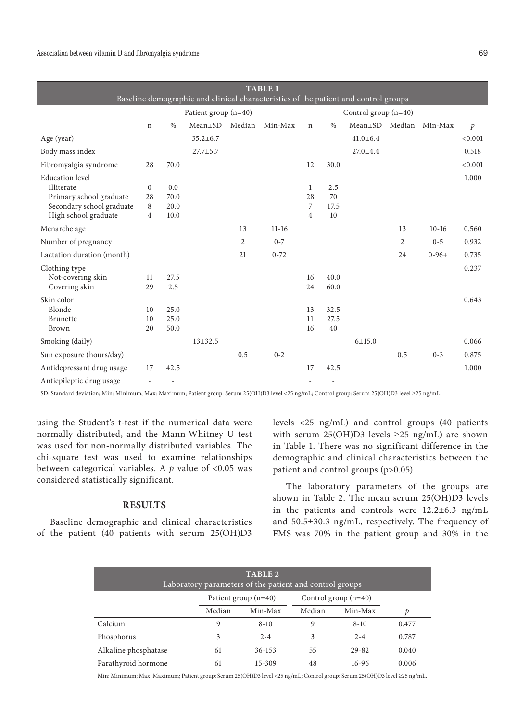| <b>TABLE 1</b><br>Baseline demographic and clinical characteristics of the patient and control groups                                             |                        |      |                |                |           |                |               |                |                |                |               |
|---------------------------------------------------------------------------------------------------------------------------------------------------|------------------------|------|----------------|----------------|-----------|----------------|---------------|----------------|----------------|----------------|---------------|
|                                                                                                                                                   | Patient group $(n=40)$ |      |                |                |           |                |               |                |                |                |               |
|                                                                                                                                                   | $\mathbf n$            | $\%$ | $Mean \pm SD$  | Median         | Min-Max   | $\mathsf{n}$   | $\frac{0}{0}$ | $Mean \pm SD$  |                | Median Min-Max | $\mathcal{P}$ |
| Age (year)                                                                                                                                        |                        |      | $35.2 \pm 6.7$ |                |           |                |               | $41.0 \pm 6.4$ |                |                | < 0.001       |
| Body mass index                                                                                                                                   |                        |      | $27.7 \pm 5.7$ |                |           |                |               | $27.0 \pm 4.4$ |                |                | 0.518         |
| Fibromyalgia syndrome                                                                                                                             | 28                     | 70.0 |                |                |           | 12             | 30.0          |                |                |                | < 0.001       |
| <b>Education</b> level                                                                                                                            |                        |      |                |                |           |                |               |                |                |                | 1.000         |
| Illiterate                                                                                                                                        | $\mathbf{0}$           | 0.0  |                |                |           | 1              | 2.5           |                |                |                |               |
| Primary school graduate                                                                                                                           | 28                     | 70.0 |                |                |           | 28             | 70            |                |                |                |               |
| Secondary school graduate                                                                                                                         | 8                      | 20.0 |                |                |           | 7              | 17.5          |                |                |                |               |
| High school graduate                                                                                                                              | $\overline{4}$         | 10.0 |                |                |           | $\overline{4}$ | 10            |                |                |                |               |
| Menarche age                                                                                                                                      |                        |      |                | 13             | $11 - 16$ |                |               |                | 13             | $10-16$        | 0.560         |
| Number of pregnancy                                                                                                                               |                        |      |                | $\overline{c}$ | $0 - 7$   |                |               |                | $\mathfrak{2}$ | $0 - 5$        | 0.932         |
| Lactation duration (month)                                                                                                                        |                        |      |                | 21             | $0 - 72$  |                |               |                | 24             | $0 - 96 +$     | 0.735         |
| Clothing type                                                                                                                                     |                        |      |                |                |           |                |               |                |                |                | 0.237         |
| Not-covering skin                                                                                                                                 | 11                     | 27.5 |                |                |           | 16             | 40.0          |                |                |                |               |
| Covering skin                                                                                                                                     | 29                     | 2.5  |                |                |           | 24             | 60.0          |                |                |                |               |
| Skin color                                                                                                                                        |                        |      |                |                |           |                |               |                |                |                | 0.643         |
| Blonde                                                                                                                                            | 10                     | 25.0 |                |                |           | 13             | 32.5          |                |                |                |               |
| <b>Brunette</b>                                                                                                                                   | 10                     | 25.0 |                |                |           | 11             | 27.5          |                |                |                |               |
| Brown                                                                                                                                             | 20                     | 50.0 |                |                |           | 16             | 40            |                |                |                |               |
| Smoking (daily)                                                                                                                                   |                        |      | $13 \pm 32.5$  |                |           |                |               | $6 + 15.0$     |                |                | 0.066         |
| Sun exposure (hours/day)                                                                                                                          |                        |      |                | 0.5            | $0 - 2$   |                |               |                | 0.5            | $0 - 3$        | 0.875         |
| Antidepressant drug usage                                                                                                                         | 17                     | 42.5 |                |                |           | 17             | 42.5          |                |                |                | 1.000         |
| Antiepileptic drug usage                                                                                                                          |                        |      |                |                |           |                |               |                |                |                |               |
| SD: Standard deviation; Min: Minimum; Max: Maximum; Patient group: Serum 25(OH)D3 level <25 ng/mL; Control group: Serum 25(OH)D3 level ≥25 ng/mL. |                        |      |                |                |           |                |               |                |                |                |               |

using the Student's t-test if the numerical data were normally distributed, and the Mann-Whitney U test was used for non-normally distributed variables. The chi-square test was used to examine relationships between categorical variables. A *p* value of <0.05 was considered statistically significant.

## **RESULTS**

Baseline demographic and clinical characteristics of the patient (40 patients with serum 25(OH)D3 levels <25 ng/mL) and control groups (40 patients with serum 25(OH)D3 levels ≥25 ng/mL) are shown in Table 1. There was no significant difference in the demographic and clinical characteristics between the patient and control groups (p>0.05).

The laboratory parameters of the groups are shown in Table 2. The mean serum 25(OH)D3 levels in the patients and controls were 12.2±6.3 ng/mL and 50.5±30.3 ng/mL, respectively. The frequency of FMS was 70% in the patient group and 30% in the

| <b>TABLE 2</b><br>Laboratory parameters of the patient and control groups                                                 |        |                        |                        |           |       |  |  |  |  |
|---------------------------------------------------------------------------------------------------------------------------|--------|------------------------|------------------------|-----------|-------|--|--|--|--|
|                                                                                                                           |        | Patient group $(n=40)$ | Control group $(n=40)$ |           |       |  |  |  |  |
|                                                                                                                           | Median | Min-Max                | Median                 | Min-Max   | Þ     |  |  |  |  |
| Calcium                                                                                                                   | 9      | $8 - 10$               | 9                      | $8 - 10$  | 0.477 |  |  |  |  |
| Phosphorus                                                                                                                | 3      | $2 - 4$                | 3                      | $2 - 4$   | 0.787 |  |  |  |  |
| Alkaline phosphatase                                                                                                      | 61     | $36 - 153$             | 55                     | $29 - 82$ | 0.040 |  |  |  |  |
| Parathyroid hormone                                                                                                       | 61     | 15-309                 | 48                     | $16-96$   | 0.006 |  |  |  |  |
| Min: Minimum; Max: Maximum; Patient group: Serum 25(OH)D3 level <25 ng/mL; Control group: Serum 25(OH)D3 level ≥25 ng/mL. |        |                        |                        |           |       |  |  |  |  |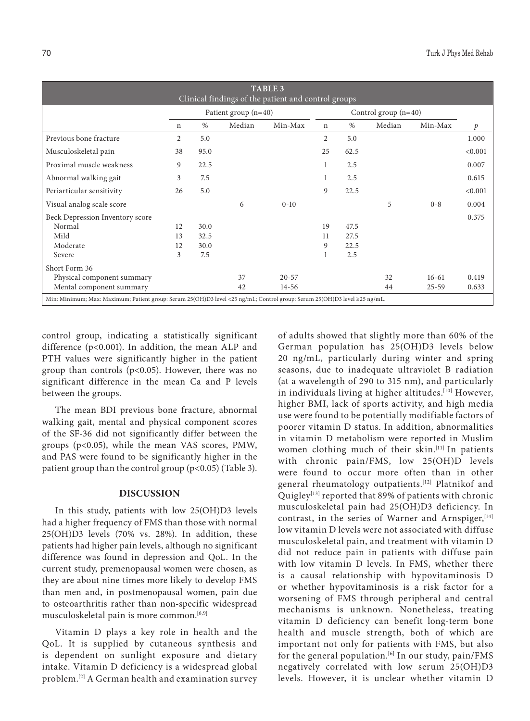| <b>TABLE 3</b><br>Clinical findings of the patient and control groups                                                     |             |                        |        |           |             |                        |        |           |         |  |
|---------------------------------------------------------------------------------------------------------------------------|-------------|------------------------|--------|-----------|-------------|------------------------|--------|-----------|---------|--|
|                                                                                                                           |             | Patient group $(n=40)$ |        |           |             | Control group $(n=40)$ |        |           |         |  |
|                                                                                                                           | $\mathbf n$ | $\%$                   | Median | Min-Max   | $\mathbf n$ | $\%$                   | Median | Min-Max   | p       |  |
| Previous bone fracture                                                                                                    | 2           | 5.0                    |        |           | 2           | 5.0                    |        |           | 1.000   |  |
| Musculoskeletal pain                                                                                                      | 38          | 95.0                   |        |           | 25          | 62.5                   |        |           | < 0.001 |  |
| Proximal muscle weakness                                                                                                  | 9           | 22.5                   |        |           |             | 2.5                    |        |           | 0.007   |  |
| Abnormal walking gait                                                                                                     | 3           | 7.5                    |        |           |             | 2.5                    |        |           | 0.615   |  |
| Periarticular sensitivity                                                                                                 | 26          | 5.0                    |        |           | 9           | 22.5                   |        |           | < 0.001 |  |
| Visual analog scale score                                                                                                 |             |                        | 6      | $0 - 10$  |             |                        | 5      | $0 - 8$   | 0.004   |  |
| Beck Depression Inventory score                                                                                           |             |                        |        |           |             |                        |        |           | 0.375   |  |
| Normal                                                                                                                    | 12          | 30.0                   |        |           | 19          | 47.5                   |        |           |         |  |
| Mild                                                                                                                      | 13          | 32.5                   |        |           | 11          | 27.5                   |        |           |         |  |
| Moderate                                                                                                                  | 12          | 30.0                   |        |           | 9           | 22.5                   |        |           |         |  |
| Severe                                                                                                                    | 3           | 7.5                    |        |           |             | 2.5                    |        |           |         |  |
| Short Form 36                                                                                                             |             |                        |        |           |             |                        |        |           |         |  |
| Physical component summary                                                                                                |             |                        | 37     | $20 - 57$ |             |                        | 32     | $16 - 61$ | 0.419   |  |
| Mental component summary                                                                                                  |             |                        | 42     | $14 - 56$ |             |                        | 44     | $25 - 59$ | 0.633   |  |
| Min: Minimum; Max: Maximum; Patient group: Serum 25(OH)D3 level <25 ng/mL; Control group: Serum 25(OH)D3 level ≥25 ng/mL. |             |                        |        |           |             |                        |        |           |         |  |

control group, indicating a statistically significant difference (p<0.001). In addition, the mean ALP and PTH values were significantly higher in the patient group than controls (p<0.05). However, there was no significant difference in the mean Ca and P levels between the groups.

The mean BDI previous bone fracture, abnormal walking gait, mental and physical component scores of the SF-36 did not significantly differ between the groups (p<0.05), while the mean VAS scores, PMW, and PAS were found to be significantly higher in the patient group than the control group (p<0.05) (Table 3).

# **DISCUSSION**

In this study, patients with low 25(OH)D3 levels had a higher frequency of FMS than those with normal 25(OH)D3 levels (70% vs. 28%). In addition, these patients had higher pain levels, although no significant difference was found in depression and QoL. In the current study, premenopausal women were chosen, as they are about nine times more likely to develop FMS than men and, in postmenopausal women, pain due to osteoarthritis rather than non-specific widespread musculoskeletal pain is more common.<sup>[6,9]</sup>

Vitamin D plays a key role in health and the QoL. It is supplied by cutaneous synthesis and is dependent on sunlight exposure and dietary intake. Vitamin D deficiency is a widespread global problem.[2] A German health and examination survey of adults showed that slightly more than 60% of the German population has 25(OH)D3 levels below 20 ng/mL, particularly during winter and spring seasons, due to inadequate ultraviolet B radiation (at a wavelength of 290 to 315 nm), and particularly in individuals living at higher altitudes.<sup>[10]</sup> However, higher BMI, lack of sports activity, and high media use were found to be potentially modifiable factors of poorer vitamin D status. In addition, abnormalities in vitamin D metabolism were reported in Muslim women clothing much of their skin.<sup>[11]</sup> In patients with chronic pain/FMS, low 25(OH)D levels were found to occur more often than in other general rheumatology outpatients.[12] Platnikof and Quigley<sup>[13]</sup> reported that 89% of patients with chronic musculoskeletal pain had 25(OH)D3 deficiency. In contrast, in the series of Warner and Arnspiger, [14] low vitamin D levels were not associated with diffuse musculoskeletal pain, and treatment with vitamin D did not reduce pain in patients with diffuse pain with low vitamin D levels. In FMS, whether there is a causal relationship with hypovitaminosis D or whether hypovitaminosis is a risk factor for a worsening of FMS through peripheral and central mechanisms is unknown. Nonetheless, treating vitamin D deficiency can benefit long-term bone health and muscle strength, both of which are important not only for patients with FMS, but also for the general population.<sup>[6]</sup> In our study, pain/FMS negatively correlated with low serum 25(OH)D3 levels. However, it is unclear whether vitamin D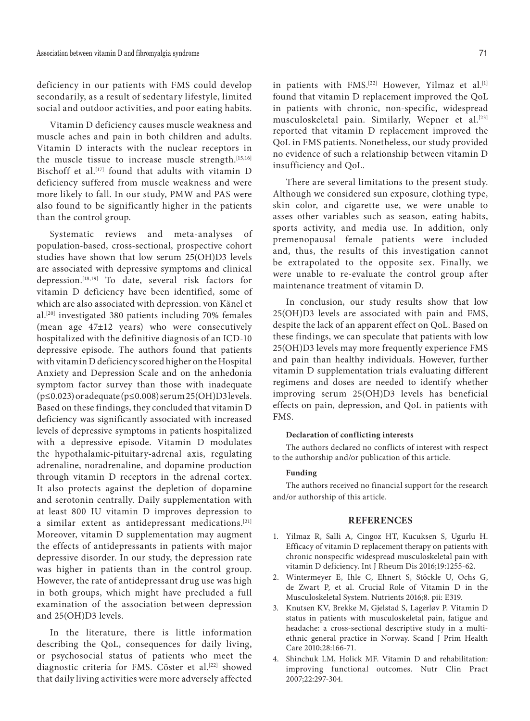deficiency in our patients with FMS could develop secondarily, as a result of sedentary lifestyle, limited social and outdoor activities, and poor eating habits.

Vitamin D deficiency causes muscle weakness and muscle aches and pain in both children and adults. Vitamin D interacts with the nuclear receptors in the muscle tissue to increase muscle strength.<sup>[15,16]</sup> Bischoff et al.<sup>[17]</sup> found that adults with vitamin  $D$ deficiency suffered from muscle weakness and were more likely to fall. In our study, PMW and PAS were also found to be significantly higher in the patients than the control group.

Systematic reviews and meta-analyses of population-based, cross-sectional, prospective cohort studies have shown that low serum 25(OH)D3 levels are associated with depressive symptoms and clinical depression.[18,19] To date, several risk factors for vitamin D deficiency have been identified, some of which are also associated with depression. von Känel et al.[20] investigated 380 patients including 70% females (mean age 47±12 years) who were consecutively hospitalized with the definitive diagnosis of an ICD-10 depressive episode. The authors found that patients with vitamin D deficiency scored higher on the Hospital Anxiety and Depression Scale and on the anhedonia symptom factor survey than those with inadequate (p≤0.023) or adequate (p≤0.008) serum 25(OH)D3 levels. Based on these findings, they concluded that vitamin D deficiency was significantly associated with increased levels of depressive symptoms in patients hospitalized with a depressive episode. Vitamin D modulates the hypothalamic-pituitary-adrenal axis, regulating adrenaline, noradrenaline, and dopamine production through vitamin D receptors in the adrenal cortex. It also protects against the depletion of dopamine and serotonin centrally. Daily supplementation with at least 800 IU vitamin D improves depression to a similar extent as antidepressant medications.[21] Moreover, vitamin D supplementation may augment the effects of antidepressants in patients with major depressive disorder. In our study, the depression rate was higher in patients than in the control group. However, the rate of antidepressant drug use was high in both groups, which might have precluded a full examination of the association between depression and 25(OH)D3 levels.

In the literature, there is little information describing the QoL, consequences for daily living, or psychosocial status of patients who meet the diagnostic criteria for FMS. Cöster et al.<sup>[22]</sup> showed that daily living activities were more adversely affected

in patients with FMS.<sup>[22]</sup> However, Yilmaz et al.<sup>[1]</sup> found that vitamin D replacement improved the QoL in patients with chronic, non-specific, widespread musculoskeletal pain. Similarly, Wepner et al.<sup>[23]</sup> reported that vitamin D replacement improved the QoL in FMS patients. Nonetheless, our study provided no evidence of such a relationship between vitamin D insufficiency and QoL.

There are several limitations to the present study. Although we considered sun exposure, clothing type, skin color, and cigarette use, we were unable to asses other variables such as season, eating habits, sports activity, and media use. In addition, only premenopausal female patients were included and, thus, the results of this investigation cannot be extrapolated to the opposite sex. Finally, we were unable to re-evaluate the control group after maintenance treatment of vitamin D.

In conclusion, our study results show that low 25(OH)D3 levels are associated with pain and FMS, despite the lack of an apparent effect on QoL. Based on these findings, we can speculate that patients with low 25(OH)D3 levels may more frequently experience FMS and pain than healthy individuals. However, further vitamin D supplementation trials evaluating different regimens and doses are needed to identify whether improving serum 25(OH)D3 levels has beneficial effects on pain, depression, and QoL in patients with FMS.

### **Declaration of conflicting interests**

The authors declared no conflicts of interest with respect to the authorship and/or publication of this article.

## **Funding**

The authors received no financial support for the research and/or authorship of this article.

# **REFERENCES**

- 1. Yilmaz R, Salli A, Cingoz HT, Kucuksen S, Ugurlu H. Efficacy of vitamin D replacement therapy on patients with chronic nonspecific widespread musculoskeletal pain with vitamin D deficiency. Int J Rheum Dis 2016;19:1255-62.
- 2. Wintermeyer E, Ihle C, Ehnert S, Stöckle U, Ochs G, de Zwart P, et al. Crucial Role of Vitamin D in the Musculoskeletal System. Nutrients 2016;8. pii: E319.
- 3. Knutsen KV, Brekke M, Gjelstad S, Lagerløv P. Vitamin D status in patients with musculoskeletal pain, fatigue and headache: a cross-sectional descriptive study in a multiethnic general practice in Norway. Scand J Prim Health Care 2010;28:166-71.
- 4. Shinchuk LM, Holick MF. Vitamin D and rehabilitation: improving functional outcomes. Nutr Clin Pract 2007;22:297-304.